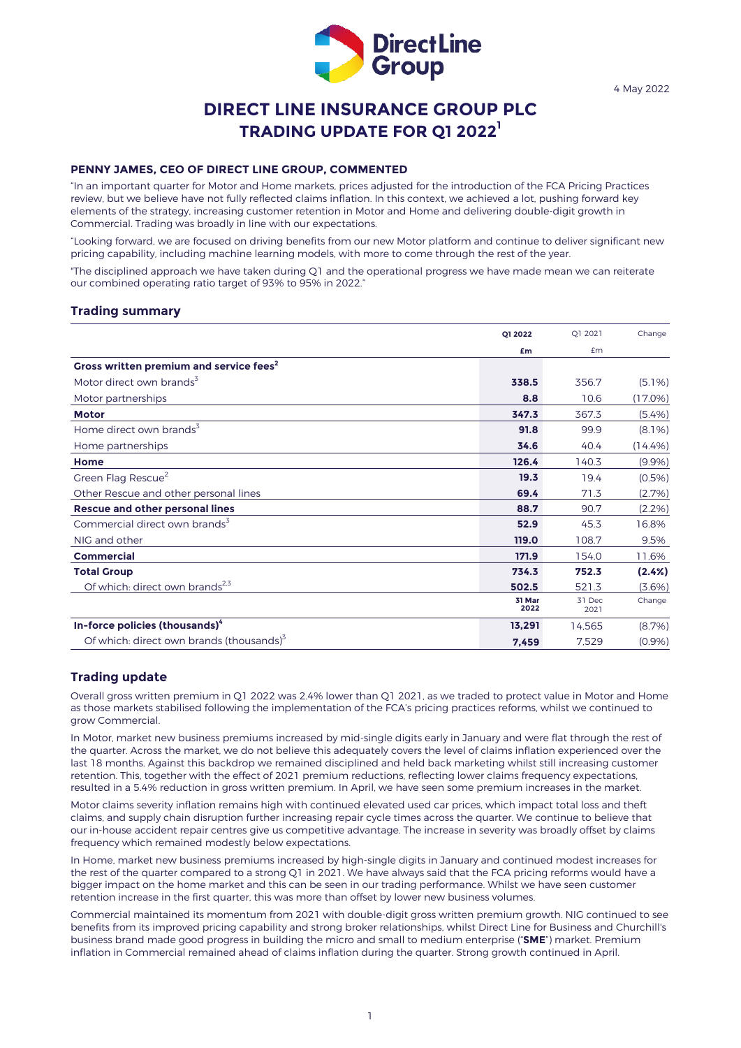

# **DIRECT LINE INSURANCE GROUP PLC TRADING UPDATE FOR Q1 2022 1**

#### **PENNY JAMES, CEO OF DIRECT LINE GROUP, COMMENTED**

"In an important quarter for Motor and Home markets, prices adjusted for the introduction of the FCA Pricing Practices review, but we believe have not fully reflected claims inflation. In this context, we achieved a lot, pushing forward key elements of the strategy, increasing customer retention in Motor and Home and delivering double-digit growth in Commercial. Trading was broadly in line with our expectations.

"Looking forward, we are focused on driving benefits from our new Motor platform and continue to deliver significant new pricing capability, including machine learning models, with more to come through the rest of the year.

"The disciplined approach we have taken during Q1 and the operational progress we have made mean we can reiterate our combined operating ratio target of 93% to 95% in 2022."

## **Trading summary**

|                                                      | O1 2022        | Q1 2021        | Change     |
|------------------------------------------------------|----------------|----------------|------------|
|                                                      | £m             | £m             |            |
| Gross written premium and service fees <sup>2</sup>  |                |                |            |
| Motor direct own brands <sup>3</sup>                 | 338.5          | 356.7          | $(5.1\%)$  |
| Motor partnerships                                   | 8.8            | 10.6           | $(17.0\%)$ |
| <b>Motor</b>                                         | 347.3          | 367.3          | (5.4%)     |
| Home direct own brands <sup>3</sup>                  | 91.8           | 99.9           | $(8.1\%)$  |
| Home partnerships                                    | 34.6           | 40.4           | (14.4%)    |
| Home                                                 | 126.4          | 140.3          | (9.9%      |
| Green Flag Rescue <sup>2</sup>                       | 19.3           | 19.4           | $(0.5\%)$  |
| Other Rescue and other personal lines                | 69.4           | 71.3           | (2.7%)     |
| <b>Rescue and other personal lines</b>               | 88.7           | 90.7           | (2.2%)     |
| Commercial direct own brands <sup>3</sup>            | 52.9           | 45.3           | 16.8%      |
| NIG and other                                        | 119.0          | 108.7          | 9.5%       |
| <b>Commercial</b>                                    | 171.9          | 154.0          | 11.6%      |
| <b>Total Group</b>                                   | 734.3          | 752.3          | (2.4%)     |
| Of which: direct own brands <sup>2,3</sup>           | 502.5          | 521.3          | (3.6%)     |
|                                                      | 31 Mar<br>2022 | 31 Dec<br>2021 | Change     |
| In-force policies (thousands) <sup>4</sup>           | 13,291         | 14,565         | (8.7%)     |
| Of which: direct own brands (thousands) <sup>5</sup> | 7,459          | 7,529          | (0.9%      |

## **Trading update**

Overall gross written premium in Q1 2022 was 2.4% lower than Q1 2021, as we traded to protect value in Motor and Home as those markets stabilised following the implementation of the FCA's pricing practices reforms, whilst we continued to grow Commercial.

In Motor, market new business premiums increased by mid-single digits early in January and were flat through the rest of the quarter. Across the market, we do not believe this adequately covers the level of claims inflation experienced over the last 18 months. Against this backdrop we remained disciplined and held back marketing whilst still increasing customer retention. This, together with the effect of 2021 premium reductions, reflecting lower claims frequency expectations, resulted in a 5.4% reduction in gross written premium. In April, we have seen some premium increases in the market.

Motor claims severity inflation remains high with continued elevated used car prices, which impact total loss and theft claims, and supply chain disruption further increasing repair cycle times across the quarter. We continue to believe that our in-house accident repair centres give us competitive advantage. The increase in severity was broadly offset by claims frequency which remained modestly below expectations.

In Home, market new business premiums increased by high-single digits in January and continued modest increases for the rest of the quarter compared to a strong Q1 in 2021. We have always said that the FCA pricing reforms would have a bigger impact on the home market and this can be seen in our trading performance. Whilst we have seen customer retention increase in the first quarter, this was more than offset by lower new business volumes.

Commercial maintained its momentum from 2021 with double-digit gross written premium growth. NIG continued to see benefits from its improved pricing capability and strong broker relationships, whilst Direct Line for Business and Churchill's business brand made good progress in building the micro and small to medium enterprise ("**SME**") market. Premium inflation in Commercial remained ahead of claims inflation during the quarter. Strong growth continued in April.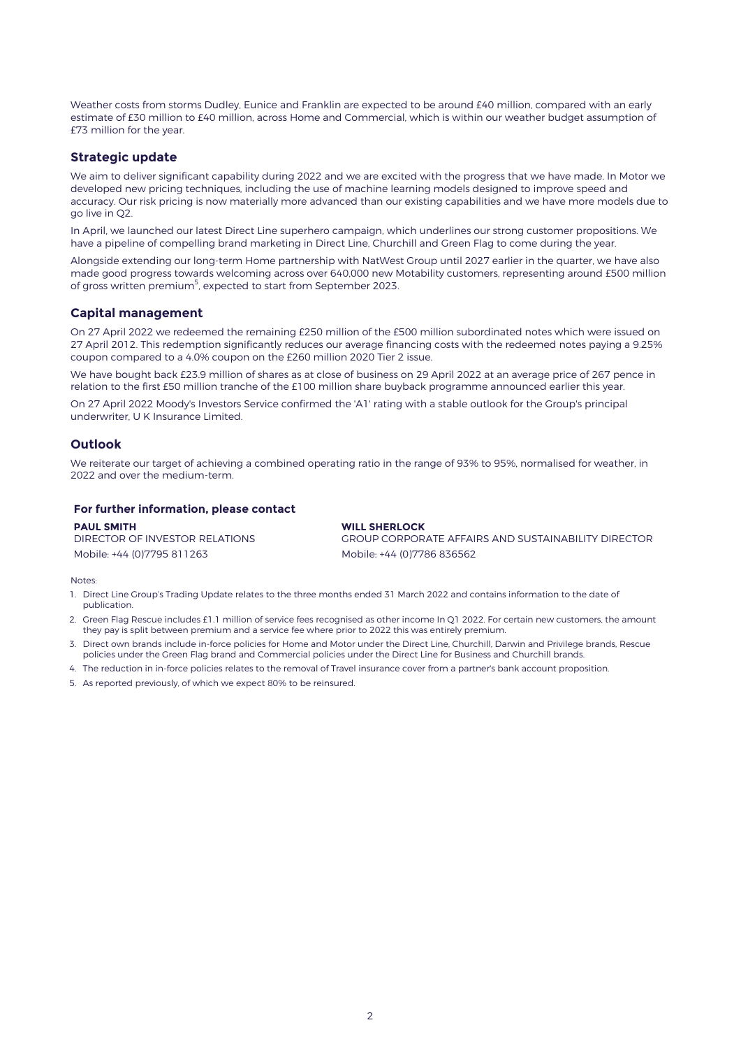Weather costs from storms Dudley, Eunice and Franklin are expected to be around £40 million, compared with an early estimate of £30 million to £40 million, across Home and Commercial, which is within our weather budget assumption of £73 million for the year.

## **Strategic update**

We aim to deliver significant capability during 2022 and we are excited with the progress that we have made. In Motor we developed new pricing techniques, including the use of machine learning models designed to improve speed and accuracy. Our risk pricing is now materially more advanced than our existing capabilities and we have more models due to go live in Q2.

In April, we launched our latest Direct Line superhero campaign, which underlines our strong customer propositions. We have a pipeline of compelling brand marketing in Direct Line, Churchill and Green Flag to come during the year.

Alongside extending our long-term Home partnership with NatWest Group until 2027 earlier in the quarter, we have also made good progress towards welcoming across over 640,000 new Motability customers, representing around £500 million of gross written premium<sup>5</sup>, expected to start from September 2023.

## **Capital management**

On 27 April 2022 we redeemed the remaining £250 million of the £500 million subordinated notes which were issued on 27 April 2012. This redemption significantly reduces our average financing costs with the redeemed notes paying a 9.25% coupon compared to a 4.0% coupon on the £260 million 2020 Tier 2 issue.

We have bought back £23.9 million of shares as at close of business on 29 April 2022 at an average price of 267 pence in relation to the first £50 million tranche of the £100 million share buyback programme announced earlier this year.

On 27 April 2022 Moody's Investors Service confirmed the 'A1' rating with a stable outlook for the Group's principal underwriter, U K Insurance Limited.

## **Outlook**

We reiterate our target of achieving a combined operating ratio in the range of 93% to 95%, normalised for weather, in 2022 and over the medium-term.

### **For further information, please contact**

**PAUL SMITH** DIRECTOR OF INVESTOR RELATIONS Mobile: +44 (0)7795 811263 Mobile: +44 (0)7786 836562

**WILL SHERLOCK** GROUP CORPORATE AFFAIRS AND SUSTAINABILITY DIRECTOR

Notes:

- 1. Direct Line Group's Trading Update relates to the three months ended 31 March 2022 and contains information to the date of publication.
- 2. Green Flag Rescue includes £1.1 million of service fees recognised as other income In Q1 2022. For certain new customers, the amount they pay is split between premium and a service fee where prior to 2022 this was entirely premium.
- 3. Direct own brands include in-force policies for Home and Motor under the Direct Line, Churchill, Darwin and Privilege brands, Rescue policies under the Green Flag brand and Commercial policies under the Direct Line for Business and Churchill brands.
- 4. The reduction in in-force policies relates to the removal of Travel insurance cover from a partner's bank account proposition.
- 5. As reported previously, of which we expect 80% to be reinsured.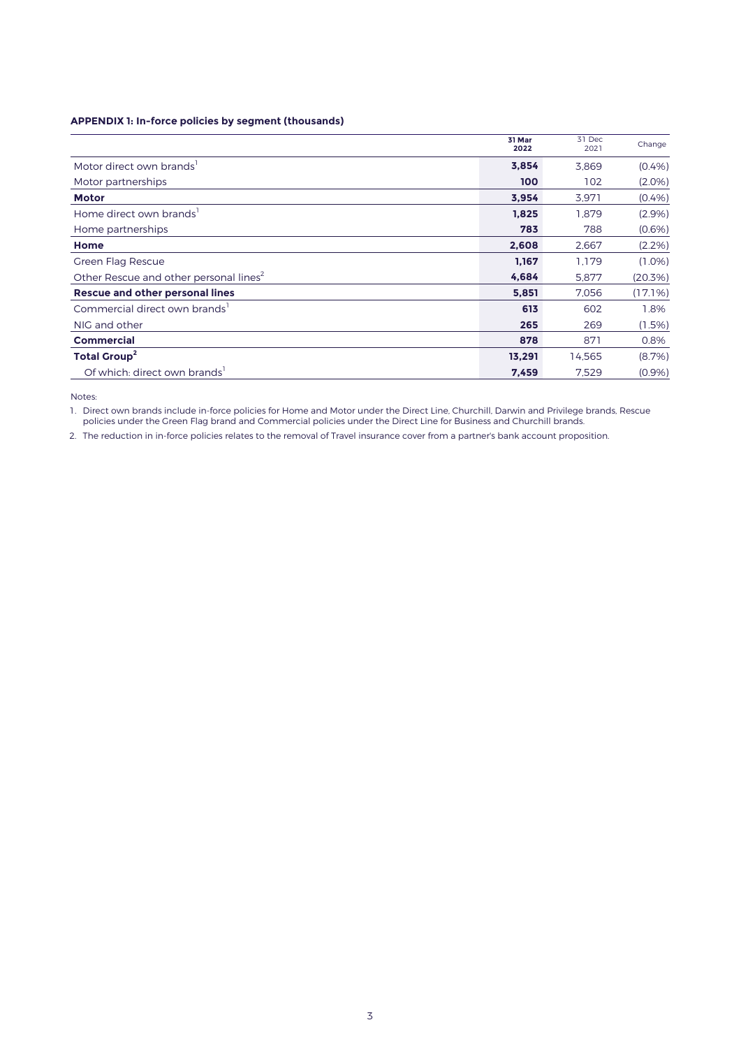## **APPENDIX 1: In-force policies by segment (thousands)**

|                                                    | 31 Mar<br>2022 | 31 Dec<br>2021 | Change    |
|----------------------------------------------------|----------------|----------------|-----------|
| Motor direct own brands <sup>1</sup>               | 3,854          | 3,869          | (0.4% )   |
| Motor partnerships                                 | 100            | 102            | $(2.0\%)$ |
| <b>Motor</b>                                       | 3,954          | 3,971          | (0.4% )   |
| Home direct own brands                             | 1.825          | 1.879          | (2.9%)    |
| Home partnerships                                  | 783            | 788            | (0.6% )   |
| Home                                               | 2,608          | 2.667          | $(2.2\%)$ |
| Green Flag Rescue                                  | 1.167          | 1.179          | $(1.0\%)$ |
| Other Rescue and other personal lines <sup>2</sup> | 4,684          | 5,877          | (20.3%)   |
| <b>Rescue and other personal lines</b>             | 5,851          | 7,056          | (17.1%)   |
| Commercial direct own brands <sup>1</sup>          | 613            | 602            | 1.8%      |
| NIG and other                                      | 265            | 269            | $(1.5\%)$ |
| <b>Commercial</b>                                  | 878            | 871            | 0.8%      |
| <b>Total Group<sup>2</sup></b>                     | 13,291         | 14,565         | (8.7%)    |
| Of which: direct own brands <sup>1</sup>           | 7,459          | 7,529          | (0.9%     |

Notes:

1. Direct own brands include in-force policies for Home and Motor under the Direct Line, Churchill, Darwin and Privilege brands, Rescue policies under the Green Flag brand and Commercial policies under the Direct Line for Business and Churchill brands.

2. The reduction in in-force policies relates to the removal of Travel insurance cover from a partner's bank account proposition.